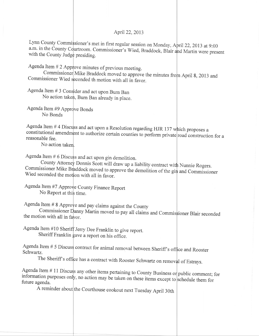April22,2013

Lynn County Commissioner's met in first regular session on Monday, April 22, 2013 at 9:00 Lyini County Commissioner's met in first regular session on Monday, April 22, 2013 at 9:00<br>a.m. in the County Courtroom. Commissioner's Wied, Braddock, Blair and Martin were present with the County Judge presiding.

Agenda Item  $# 2$  Approve minutes of previous meeting.

Commissioner Mike Braddock moved to approve the minutes from April 8, 2013 and Commissioner Wied seconded th motion with all in favor.

Agenda Item #3 Consider and act upon Burn Ban

No action taken, Burn Ban already in place.

Agenda Item #9 Approve Bonds No Bonds

Agenda Item #4 Discuss and act upon a Resolution regarding HJR 137 constitutional amendment to authorize certain counties to perform private road construction for a reasonable fee. ich proposes a

No action take

Agenda Item  $# 6$  Discuss and act upon gin demolition.

County Attorney Donnis Scott will draw up a liability contract with Nunnie Rogers.<br>Commissioner Mike Braddock moved to approve the demolition of the gin and Commission Wied seconded the motion with all in favor. addock moved to approve the demolition of the gin and Commissioner

No Report at this time. Agenda Item #7 Approve County Finance Report

Agenda Item # 8 Approve and pay claims against the County

the motion with all in favor. Commissioner Danny Martin moved to pay all claims and Commissioner Blair seconded

Agenda Item #10 Sheriff Jerry Dee Franklin to give report. Sheriff Franklin gave a report on his office.

Agenda Item  $# 5$  Discuss contract for animal removal between Sheriff's office and Rooster Schwartz.

The Sheriff's office has a contract with Rooster Schwartz on removal of Estrays.

Agenda Item # 11 Discuss any other items pertaining to County Business or public comment; for future agenda. , no action may be taken on these items except to hedule them for

A reminder about the Courthouse cookout next Tuesday April 30th